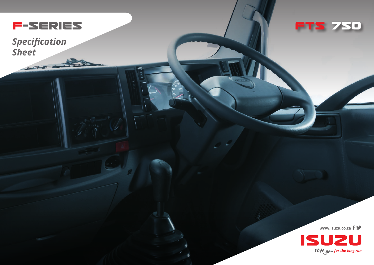

*Specification Sheet*

-



**www.isuzu.co.za**